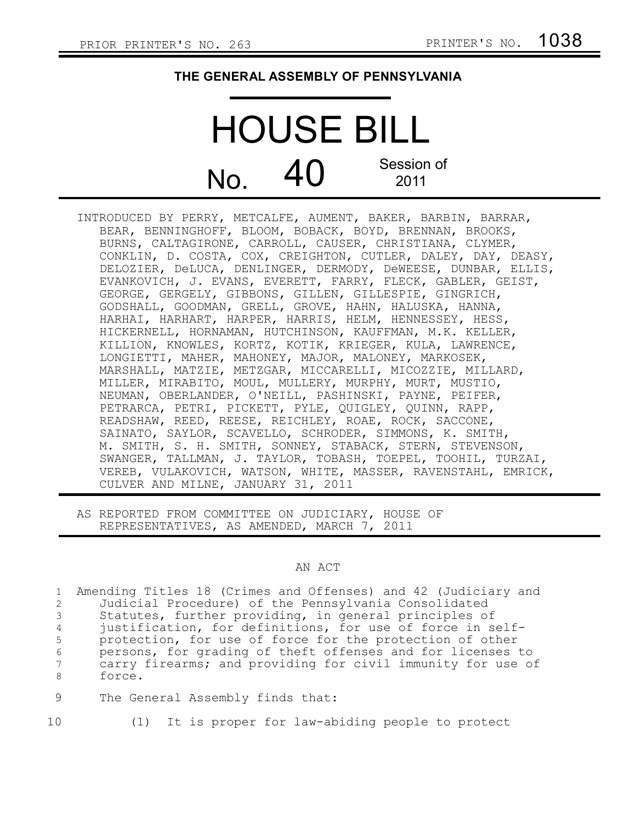## **THE GENERAL ASSEMBLY OF PENNSYLVANIA**

## HOUSE BILL  $N_{\Omega}$  40 Session of 2011

INTRODUCED BY PERRY, METCALFE, AUMENT, BAKER, BARBIN, BARRAR, BEAR, BENNINGHOFF, BLOOM, BOBACK, BOYD, BRENNAN, BROOKS, BURNS, CALTAGIRONE, CARROLL, CAUSER, CHRISTIANA, CLYMER, CONKLIN, D. COSTA, COX, CREIGHTON, CUTLER, DALEY, DAY, DEASY, DELOZIER, DeLUCA, DENLINGER, DERMODY, DeWEESE, DUNBAR, ELLIS, EVANKOVICH, J. EVANS, EVERETT, FARRY, FLECK, GABLER, GEIST, GEORGE, GERGELY, GIBBONS, GILLEN, GILLESPIE, GINGRICH, GODSHALL, GOODMAN, GRELL, GROVE, HAHN, HALUSKA, HANNA, HARHAI, HARHART, HARPER, HARRIS, HELM, HENNESSEY, HESS, HICKERNELL, HORNAMAN, HUTCHINSON, KAUFFMAN, M.K. KELLER, KILLION, KNOWLES, KORTZ, KOTIK, KRIEGER, KULA, LAWRENCE, LONGIETTI, MAHER, MAHONEY, MAJOR, MALONEY, MARKOSEK, MARSHALL, MATZIE, METZGAR, MICCARELLI, MICOZZIE, MILLARD, MILLER, MIRABITO, MOUL, MULLERY, MURPHY, MURT, MUSTIO, NEUMAN, OBERLANDER, O'NEILL, PASHINSKI, PAYNE, PEIFER, PETRARCA, PETRI, PICKETT, PYLE, QUIGLEY, QUINN, RAPP, READSHAW, REED, REESE, REICHLEY, ROAE, ROCK, SACCONE, SAINATO, SAYLOR, SCAVELLO, SCHRODER, SIMMONS, K. SMITH, M. SMITH, S. H. SMITH, SONNEY, STABACK, STERN, STEVENSON, SWANGER, TALLMAN, J. TAYLOR, TOBASH, TOEPEL, TOOHIL, TURZAI, VEREB, VULAKOVICH, WATSON, WHITE, MASSER, RAVENSTAHL, EMRICK, CULVER AND MILNE, JANUARY 31, 2011

AS REPORTED FROM COMMITTEE ON JUDICIARY, HOUSE OF REPRESENTATIVES, AS AMENDED, MARCH 7, 2011

## AN ACT

|                 | 1 Amending Titles 18 (Crimes and Offenses) and 42 (Judiciary and |
|-----------------|------------------------------------------------------------------|
| $\mathbf{2}$    | Judicial Procedure) of the Pennsylvania Consolidated             |
|                 | 3 Statutes, further providing, in general principles of          |
| $4\overline{ }$ | justification, for definitions, for use of force in self-        |
| 5 <sup>5</sup>  | protection, for use of force for the protection of other         |
| 6               | persons, for grading of theft offenses and for licenses to       |
| $7\degree$      | carry firearms; and providing for civil immunity for use of      |
| 8               | force.                                                           |
|                 |                                                                  |

- The General Assembly finds that: 9
- 10
- (1) It is proper for law-abiding people to protect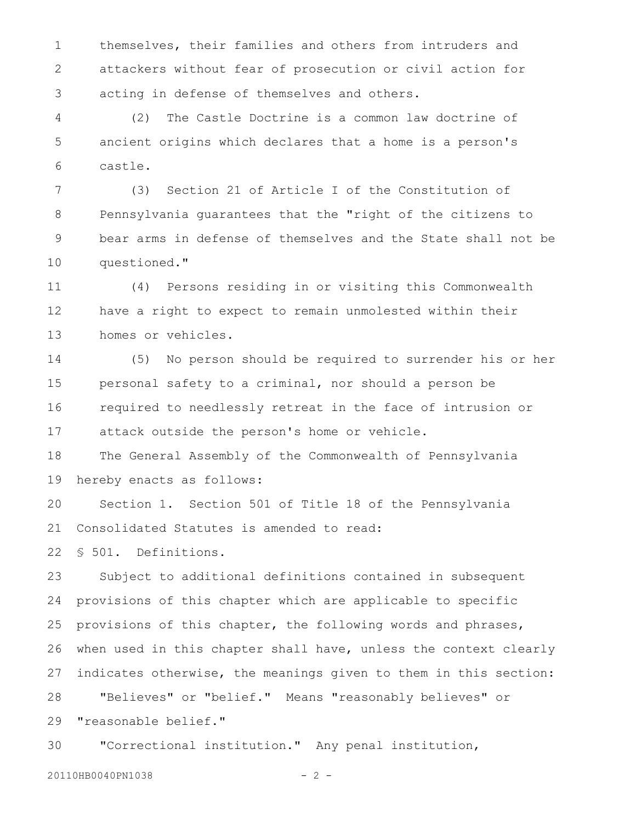themselves, their families and others from intruders and attackers without fear of prosecution or civil action for acting in defense of themselves and others. 1 2 3

(2) The Castle Doctrine is a common law doctrine of ancient origins which declares that a home is a person's castle. 4 5 6

(3) Section 21 of Article I of the Constitution of Pennsylvania guarantees that the "right of the citizens to bear arms in defense of themselves and the State shall not be questioned." 7 8 9 10

(4) Persons residing in or visiting this Commonwealth have a right to expect to remain unmolested within their homes or vehicles. 11 12 13

(5) No person should be required to surrender his or her personal safety to a criminal, nor should a person be required to needlessly retreat in the face of intrusion or attack outside the person's home or vehicle. 14 15 16 17

The General Assembly of the Commonwealth of Pennsylvania hereby enacts as follows: 18 19

Section 1. Section 501 of Title 18 of the Pennsylvania Consolidated Statutes is amended to read: 20 21

§ 501. Definitions. 22

Subject to additional definitions contained in subsequent provisions of this chapter which are applicable to specific provisions of this chapter, the following words and phrases, when used in this chapter shall have, unless the context clearly indicates otherwise, the meanings given to them in this section: "Believes" or "belief." Means "reasonably believes" or "reasonable belief." 23 24 25 26 27 28 29

"Correctional institution." Any penal institution, 30

20110HB0040PN1038 - 2 -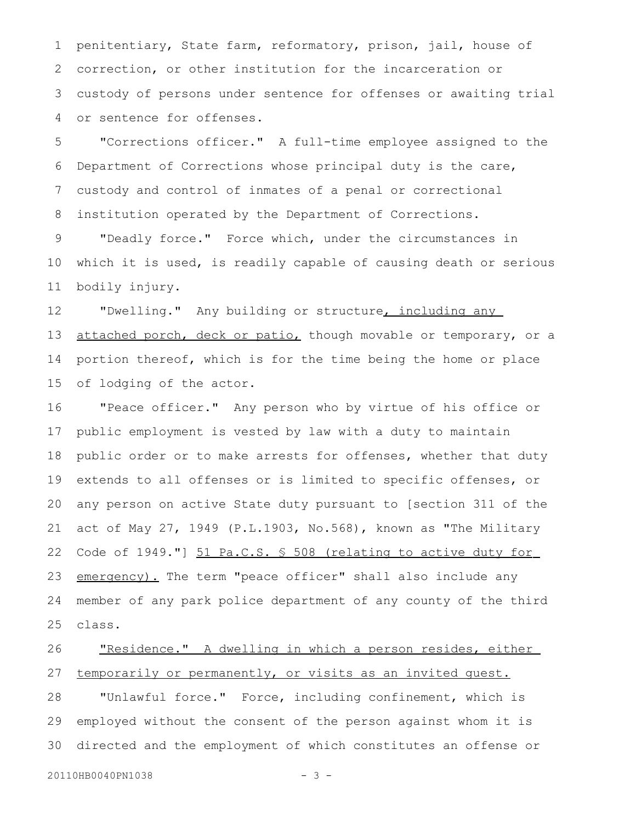penitentiary, State farm, reformatory, prison, jail, house of correction, or other institution for the incarceration or custody of persons under sentence for offenses or awaiting trial or sentence for offenses. 1 2 3 4

"Corrections officer." A full-time employee assigned to the Department of Corrections whose principal duty is the care, custody and control of inmates of a penal or correctional institution operated by the Department of Corrections. 5 6 7 8

"Deadly force." Force which, under the circumstances in which it is used, is readily capable of causing death or serious bodily injury. 9 10 11

"Dwelling." Any building or structure, including any attached porch, deck or patio, though movable or temporary, or a portion thereof, which is for the time being the home or place of lodging of the actor. 12 13 14 15

"Peace officer." Any person who by virtue of his office or public employment is vested by law with a duty to maintain public order or to make arrests for offenses, whether that duty extends to all offenses or is limited to specific offenses, or any person on active State duty pursuant to [section 311 of the act of May 27, 1949 (P.L.1903, No.568), known as "The Military Code of 1949."] 51 Pa.C.S. § 508 (relating to active duty for emergency). The term "peace officer" shall also include any member of any park police department of any county of the third class. 16 17 18 19 20 21 22 23 24 25

## "Residence." A dwelling in which a person resides, either temporarily or permanently, or visits as an invited guest. 26 27

"Unlawful force." Force, including confinement, which is employed without the consent of the person against whom it is directed and the employment of which constitutes an offense or 28 29 30

20110HB0040PN1038 - 3 -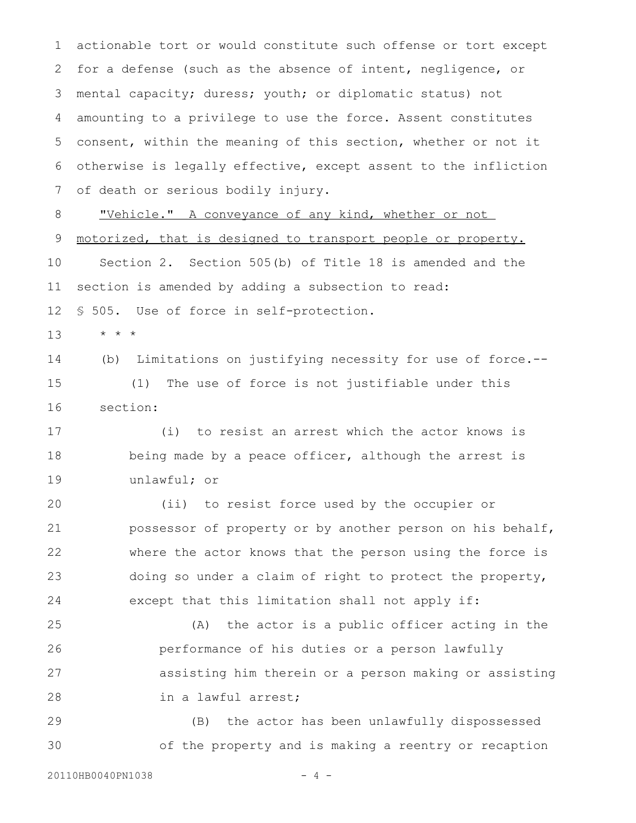actionable tort or would constitute such offense or tort except for a defense (such as the absence of intent, negligence, or mental capacity; duress; youth; or diplomatic status) not amounting to a privilege to use the force. Assent constitutes consent, within the meaning of this section, whether or not it otherwise is legally effective, except assent to the infliction of death or serious bodily injury. 1 2 3 4 5 6 7 8

" Vehicle. " A conveyance of any kind, whether or not motorized, that is designed to transport people or property. Section 2. Section 505(b) of Title 18 is amended and the section is amended by adding a subsection to read: § 505. Use of force in self-protection. 9 10 11 12

\* \* \* 13

(b) Limitations on justifying necessity for use of force.-- (1) The use of force is not justifiable under this 14 15

section: 16

(i) to resist an arrest which the actor knows is being made by a peace officer, although the arrest is unlawful; or 17 18 19

(ii) to resist force used by the occupier or possessor of property or by another person on his behalf, where the actor knows that the person using the force is doing so under a claim of right to protect the property, except that this limitation shall not apply if: 20 21 22 23 24

(A) the actor is a public officer acting in the performance of his duties or a person lawfully assisting him therein or a person making or assisting in a lawful arrest; 25 26 27 28

(B) the actor has been unlawfully dispossessed of the property and is making a reentry or recaption 29 30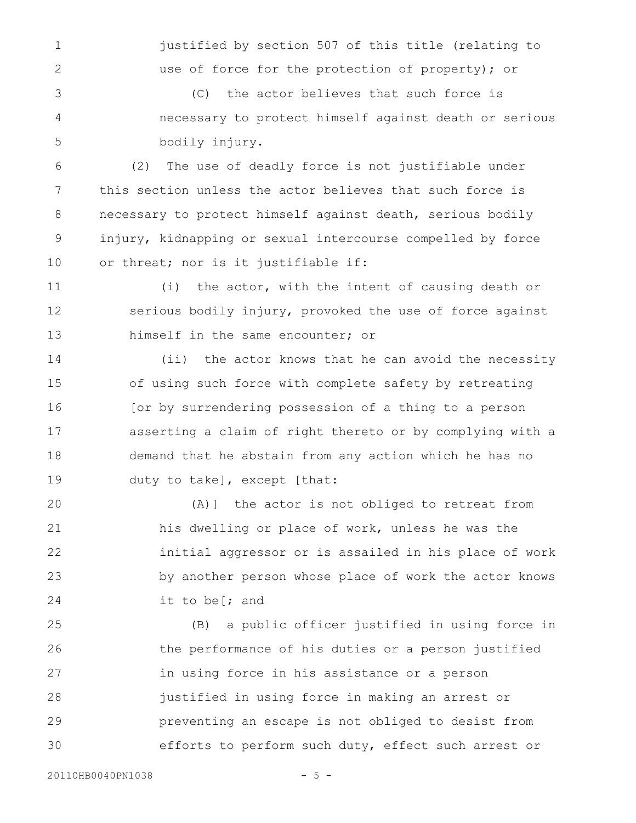justified by section 507 of this title (relating to use of force for the protection of property); or

(C) the actor believes that such force is necessary to protect himself against death or serious bodily injury. 3 4 5

(2) The use of deadly force is not justifiable under this section unless the actor believes that such force is necessary to protect himself against death, serious bodily injury, kidnapping or sexual intercourse compelled by force or threat; nor is it justifiable if: 6 7 8 9 10

(i) the actor, with the intent of causing death or serious bodily injury, provoked the use of force against himself in the same encounter; or 11 12 13

(ii) the actor knows that he can avoid the necessity of using such force with complete safety by retreating [or by surrendering possession of a thing to a person asserting a claim of right thereto or by complying with a demand that he abstain from any action which he has no duty to take], except [that: 14 15 16 17 18 19

(A)] the actor is not obliged to retreat from his dwelling or place of work, unless he was the initial aggressor or is assailed in his place of work by another person whose place of work the actor knows it to be[; and 20 21 22 23 24

(B) a public officer justified in using force in the performance of his duties or a person justified in using force in his assistance or a person justified in using force in making an arrest or preventing an escape is not obliged to desist from efforts to perform such duty, effect such arrest or 25 26 27 28 29 30

1

2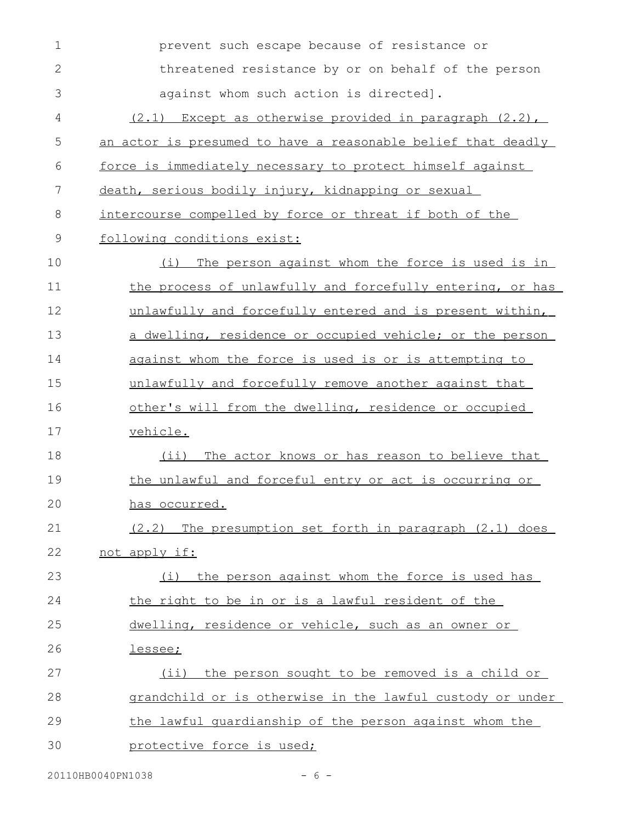| $\mathbf 1$  | prevent such escape because of resistance or                 |
|--------------|--------------------------------------------------------------|
| $\mathbf{2}$ | threatened resistance by or on behalf of the person          |
| 3            | against whom such action is directed].                       |
| 4            | $(2.1)$ Except as otherwise provided in paragraph $(2.2)$ ,  |
| 5            | an actor is presumed to have a reasonable belief that deadly |
| 6            | force is immediately necessary to protect himself against    |
| 7            | death, serious bodily injury, kidnapping or sexual           |
| 8            | intercourse compelled by force or threat if both of the      |
| $\mathsf 9$  | following conditions exist:                                  |
| 10           | The person against whom the force is used is in<br>(i)       |
| 11           | the process of unlawfully and forcefully entering, or has    |
| 12           | unlawfully and forcefully entered and is present within,     |
| 13           | a dwelling, residence or occupied vehicle; or the person     |
| 14           | against whom the force is used is or is attempting to        |
| 15           | unlawfully and forcefully remove another against that        |
| 16           | other's will from the dwelling, residence or occupied        |
| 17           | vehicle.                                                     |
| 18           | The actor knows or has reason to believe that<br>(i)         |
| 19           | the unlawful and forceful entry or act is occurring or       |
| 20           | has occurred.                                                |
| 21           | $(2.2)$ The presumption set forth in paragraph $(2.1)$ does  |
| 22           | not apply if:                                                |
| 23           | the person against whom the force is used has<br>(i)         |
| 24           | the right to be in or is a lawful resident of the            |
| 25           | dwelling, residence or vehicle, such as an owner or          |
| 26           | lessee;                                                      |
| 27           | the person sought to be removed is a child or<br>$(i$ i)     |
| 28           | grandchild or is otherwise in the lawful custody or under    |
| 29           | the lawful quardianship of the person against whom the       |
| 30           | protective force is used;                                    |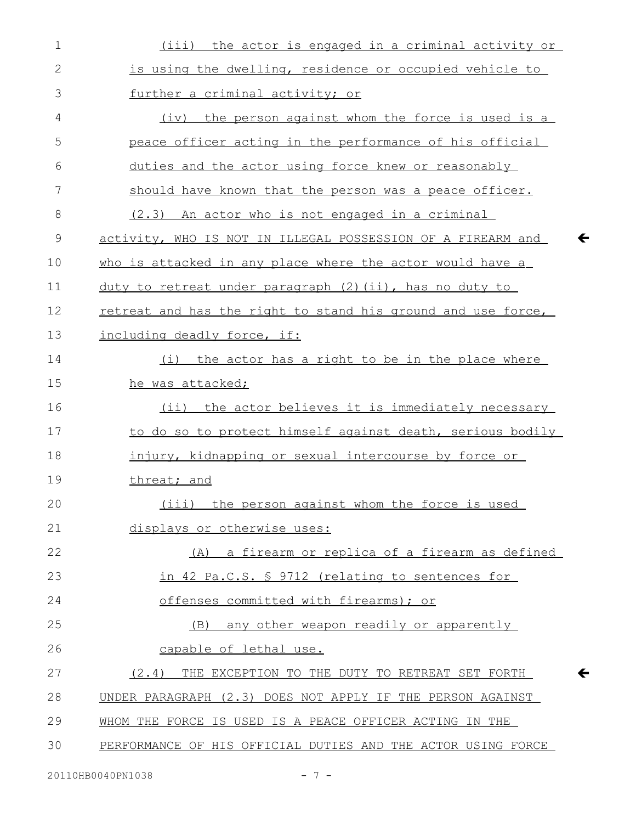| $\mathbf 1$  | (iii) the actor is engaged in a criminal activity or         |
|--------------|--------------------------------------------------------------|
| $\mathbf{2}$ | is using the dwelling, residence or occupied vehicle to      |
| 3            | further a criminal activity; or                              |
| 4            | (iv) the person against whom the force is used is a          |
| 5            | peace officer acting in the performance of his official      |
| 6            | duties and the actor using force knew or reasonably          |
| 7            | should have known that the person was a peace officer.       |
| 8            | (2.3) An actor who is not engaged in a criminal              |
| 9            | activity, WHO IS NOT IN ILLEGAL POSSESSION OF A FIREARM and  |
| 10           | who is attacked in any place where the actor would have a    |
| 11           | duty to retreat under paragraph (2) (ii), has no duty to     |
| 12           | retreat and has the right to stand his ground and use force, |
| 13           | including deadly force, if:                                  |
| 14           | (i) the actor has a right to be in the place where           |
| 15           | he was attacked;                                             |
| 16           | (ii) the actor believes it is immediately necessary          |
| 17           | to do so to protect himself against death, serious bodily    |
| 18           | injury, kidnapping or sexual intercourse by force or         |
| 19           | threat; and                                                  |
| 20           | (iii)<br>the person against whom the force is used           |
| 21           | displays or otherwise uses:                                  |
| 22           | (A) a firearm or replica of a firearm as defined             |
| 23           | in 42 Pa.C.S. § 9712 (relating to sentences for              |
| 24           | offenses committed with firearms); or                        |
| 25           | any other weapon readily or apparently<br>(B)                |
| 26           | capable of lethal use.                                       |
| 27           | THE EXCEPTION TO THE DUTY TO RETREAT SET FORTH<br>(2.4)      |
| 28           | UNDER PARAGRAPH (2.3) DOES NOT APPLY IF THE PERSON AGAINST   |
| 29           | WHOM THE FORCE IS USED IS A PEACE OFFICER ACTING IN THE      |
| 30           | PERFORMANCE OF HIS OFFICIAL DUTIES AND THE ACTOR USING FORCE |

 $\leftarrow$ 

 $\leftarrow$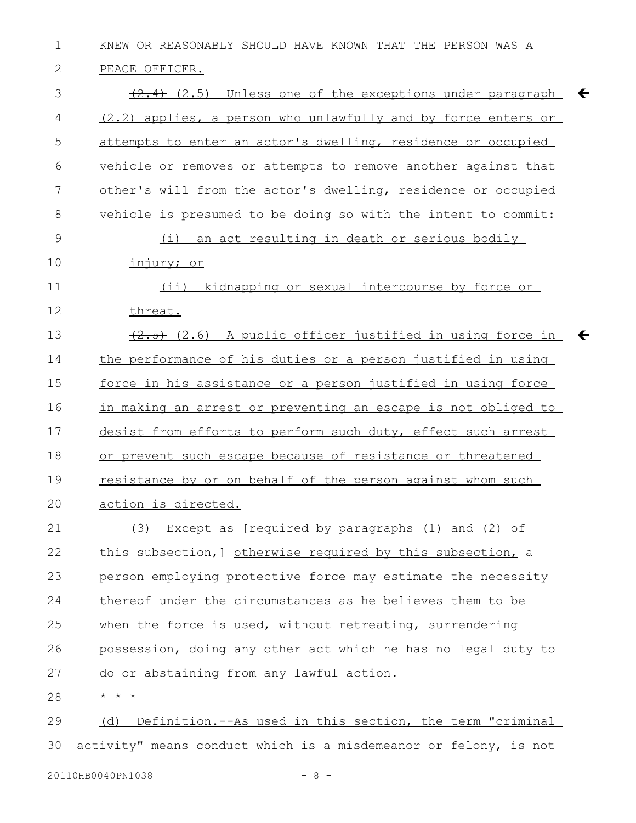KNEW OR REASONABLY SHOULD HAVE KNOWN THAT THE PERSON WAS A PEACE OFFICER.  $\{2.4\}$  (2.5) Unless one of the exceptions under paragraph  $\blacklozenge$ (2.2) applies, a person who unlawfully and by force enters or attempts to enter an actor's dwelling, residence or occupied vehicle or removes or attempts to remove another against that other's will from the actor's dwelling, residence or occupied vehicle is presumed to be doing so with the intent to commit: (i) an act resulting in death or serious bodily injury; or (ii) kidnapping or sexual intercourse by force or threat.  $\overline{(2.5)}$  (2.6) A public officer justified in using force in the performance of his duties or a person justified in using force in his assistance or a person justified in using force in making an arrest or preventing an escape is not obliged to desist from efforts to perform such duty, effect such arrest or prevent such escape because of resistance or threatened resistance by or on behalf of the person against whom such action is directed. (3) Except as [required by paragraphs (1) and (2) of this subsection,] otherwise required by this subsection, a person employing protective force may estimate the necessity thereof under the circumstances as he believes them to be when the force is used, without retreating, surrendering possession, doing any other act which he has no legal duty to do or abstaining from any lawful action. \* \* \* (d) Definition.--As used in this section, the term "criminal activity" means conduct which is a misdemeanor or felony, is not 1 2 3 4 5 6 7 8 9 10 11 12 13 14 15 16 17 18 19 20 21 22 23 24 25 26 27 28 29 30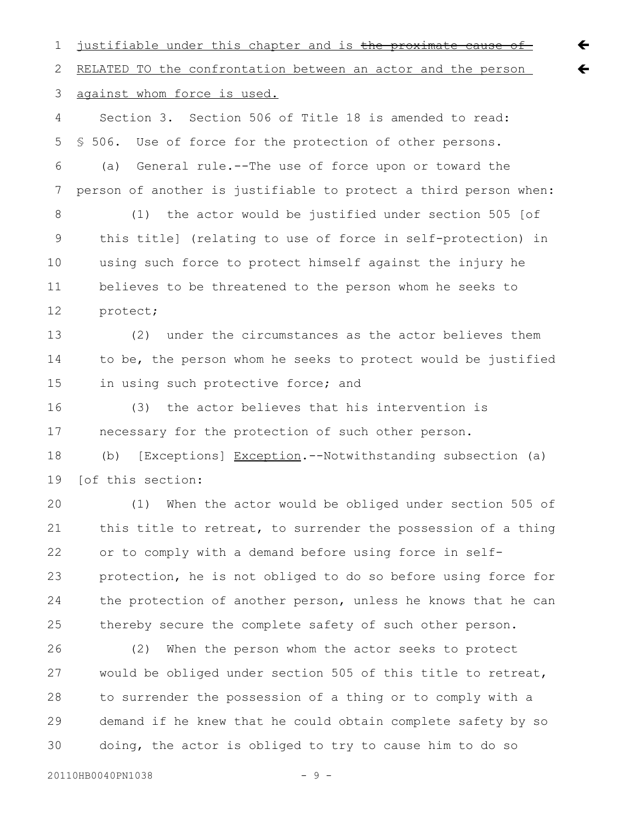justifiable under this chapter and is the proximate cause of RELATED TO the confrontation between an actor and the person against whom force is used. Section 3. Section 506 of Title 18 is amended to read: § 506. Use of force for the protection of other persons. (a) General rule.--The use of force upon or toward the person of another is justifiable to protect a third person when: (1) the actor would be justified under section 505 [of this title] (relating to use of force in self-protection) in using such force to protect himself against the injury he believes to be threatened to the person whom he seeks to protect; (2) under the circumstances as the actor believes them to be, the person whom he seeks to protect would be justified in using such protective force; and (3) the actor believes that his intervention is necessary for the protection of such other person. (b) [Exceptions] Exception.--Notwithstanding subsection (a) [of this section: (1) When the actor would be obliged under section 505 of this title to retreat, to surrender the possession of a thing or to comply with a demand before using force in selfprotection, he is not obliged to do so before using force for the protection of another person, unless he knows that he can thereby secure the complete safety of such other person. (2) When the person whom the actor seeks to protect would be obliged under section 505 of this title to retreat, to surrender the possession of a thing or to comply with a demand if he knew that he could obtain complete safety by so 1 2 3 4 5 6 7 8 9 10 11 12 13 14 15 16 17 18 19 20 21 22 23 24 25 26 27 28 29

 $\leftarrow$ 

 $\leftarrow$ 

 $20110$ HB0040PN1038 - 9 -

30

doing, the actor is obliged to try to cause him to do so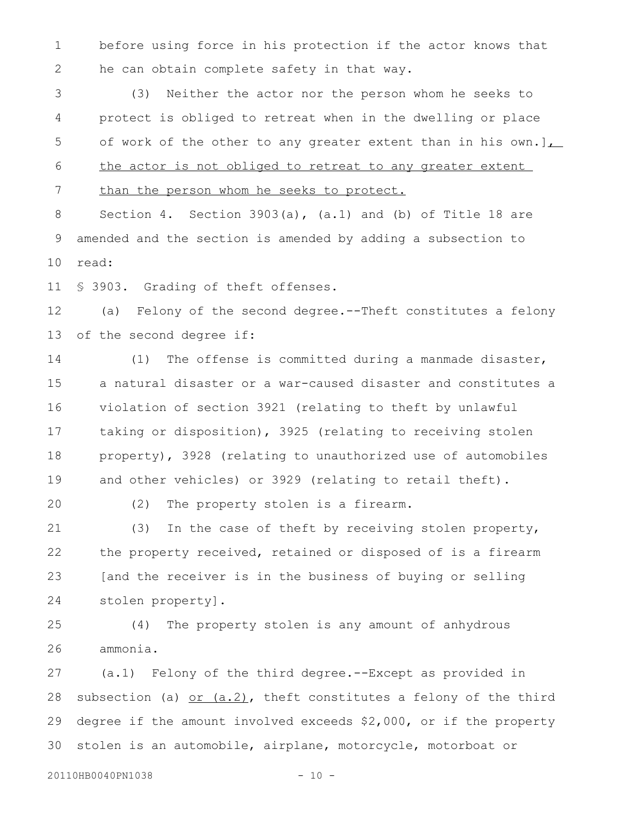before using force in his protection if the actor knows that he can obtain complete safety in that way. 1 2

(3) Neither the actor nor the person whom he seeks to protect is obliged to retreat when in the dwelling or place of work of the other to any greater extent than in his own.] $\overline{L}$ the actor is not obliged to retreat to any greater extent than the person whom he seeks to protect. 3 4 5 6 7

Section 4. Section 3903(a), (a.1) and (b) of Title 18 are amended and the section is amended by adding a subsection to read: 8 9 10

§ 3903. Grading of theft offenses. 11

(a) Felony of the second degree.--Theft constitutes a felony of the second degree if: 12 13

(1) The offense is committed during a manmade disaster, a natural disaster or a war-caused disaster and constitutes a violation of section 3921 (relating to theft by unlawful taking or disposition), 3925 (relating to receiving stolen property), 3928 (relating to unauthorized use of automobiles and other vehicles) or 3929 (relating to retail theft). 14 15 16 17 18 19

20

(2) The property stolen is a firearm.

(3) In the case of theft by receiving stolen property, the property received, retained or disposed of is a firearm [and the receiver is in the business of buying or selling stolen property]. 21 22 23 24

(4) The property stolen is any amount of anhydrous ammonia. 25 26

(a.1) Felony of the third degree.--Except as provided in subsection (a)  $or$  (a.2), theft constitutes a felony of the third degree if the amount involved exceeds \$2,000, or if the property stolen is an automobile, airplane, motorcycle, motorboat or 27 28 29 30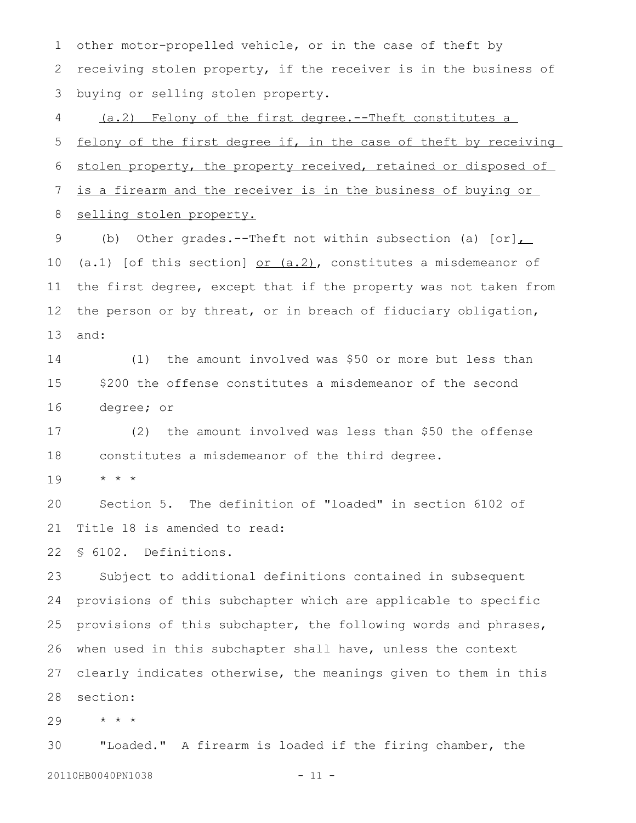other motor-propelled vehicle, or in the case of theft by receiving stolen property, if the receiver is in the business of buying or selling stolen property. 1 2 3

(a.2) Felony of the first degree.--Theft constitutes a felony of the first degree if, in the case of theft by receiving stolen property, the property received, retained or disposed of is a firearm and the receiver is in the business of buying or selling stolen property. 4 5 6 7 8

(b) Other grades.--Theft not within subsection (a)  $[or]$ (a.1) [of this section]  $or$  (a.2), constitutes a misdemeanor of the first degree, except that if the property was not taken from the person or by threat, or in breach of fiduciary obligation, and: 9 10 11 12 13

(1) the amount involved was \$50 or more but less than \$200 the offense constitutes a misdemeanor of the second degree; or 14 15 16

(2) the amount involved was less than \$50 the offense constitutes a misdemeanor of the third degree. 17 18

\* \* \* 19

Section 5. The definition of "loaded" in section 6102 of Title 18 is amended to read: 20 21

§ 6102. Definitions. 22

Subject to additional definitions contained in subsequent provisions of this subchapter which are applicable to specific provisions of this subchapter, the following words and phrases, when used in this subchapter shall have, unless the context clearly indicates otherwise, the meanings given to them in this section: 23 24 25 26 27 28

\* \* \* 29

"Loaded." A firearm is loaded if the firing chamber, the 20110HB0040PN1038 - 11 -30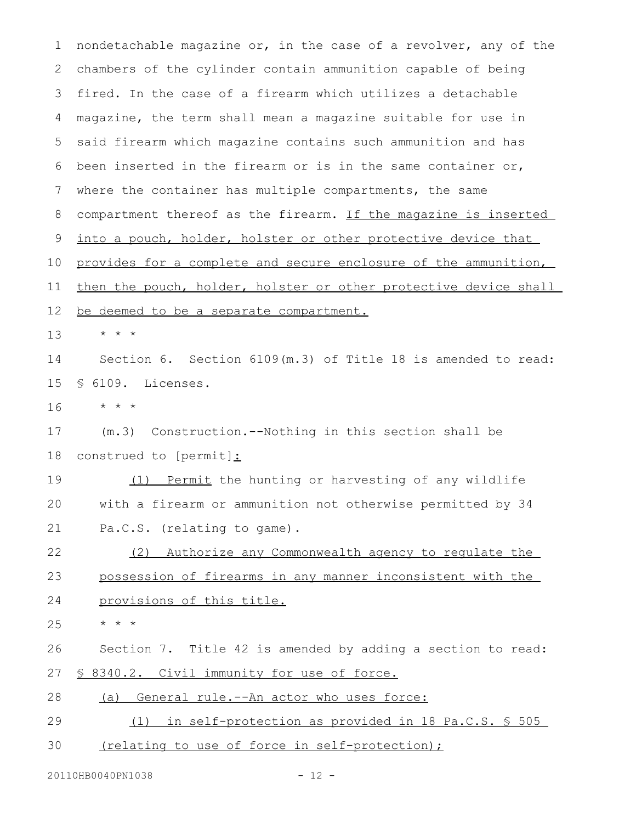nondetachable magazine or, in the case of a revolver, any of the chambers of the cylinder contain ammunition capable of being fired. In the case of a firearm which utilizes a detachable magazine, the term shall mean a magazine suitable for use in said firearm which magazine contains such ammunition and has been inserted in the firearm or is in the same container or, where the container has multiple compartments, the same compartment thereof as the firearm. If the magazine is inserted into a pouch, holder, holster or other protective device that provides for a complete and secure enclosure of the ammunition, then the pouch, holder, holster or other protective device shall be deemed to be a separate compartment. \* \* \* Section 6. Section 6109(m.3) of Title 18 is amended to read: § 6109. Licenses. \* \* \* (m.3) Construction.--Nothing in this section shall be construed to [permit]: (1) Permit the hunting or harvesting of any wildlife with a firearm or ammunition not otherwise permitted by 34 Pa.C.S. (relating to game). (2) Authorize any Commonwealth agency to regulate the possession of firearms in any manner inconsistent with the provisions of this title. \* \* \* Section 7. Title 42 is amended by adding a section to read: § 8340.2. Civil immunity for use of force. (a) General rule.--An actor who uses force: (1) in self-protection as provided in 18 Pa.C.S. § 505 (relating to use of force in self-protection); 1 2 3 4 5 6 7 8 9 10 11 12 13 14 15 16 17 18 19 20 21 22 23 24 25 26 27 28 29 30

20110HB0040PN1038 - 12 -